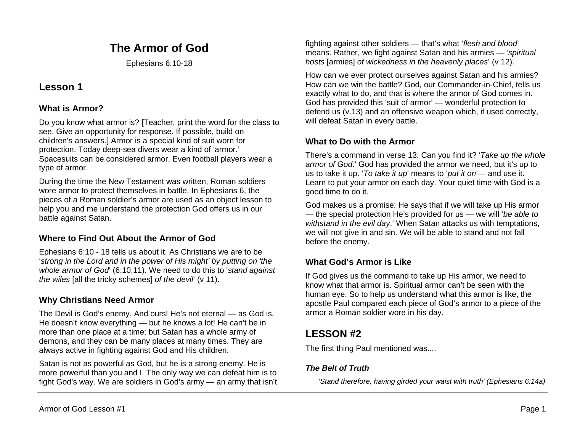# **The Armor of God**

Ephesians 6:10-18

## **Lesson 1**

### **What is Armor?**

Do you know what armor is? [Teacher, print the word for the class to see. Give an opportunity for response. If possible, build on children's answers.] Armor is a special kind of suit worn for protection. Today deep-sea divers wear a kind of 'armor.' Spacesuits can be considered armor. Even football players wear a type of armor.

During the time the New Testament was written, Roman soldiers wore armor to protect themselves in battle. In Ephesians 6, the pieces of a Roman soldier's armor are used as an object lesson to help you and me understand the protection God offers us in our battle against Satan.

## **Where to Find Out About the Armor of God**

Ephesians 6:10 - 18 tells us about it. As Christians we are to be '*strong in the Lord and in the power of His might' by putting on 'the whole armor of God*' (6:10,11). We need to do this to '*stand against the wiles* [all the tricky schemes] *of the devil*' (v 11).

## **Why Christians Need Armor**

The Devil is God's enemy. And ours! He's not eternal — as God is. He doesn't know everything — but he knows a lot! He can't be in more than one place at a time; but Satan has a whole army of demons, and they can be many places at many times. They are always active in fighting against God and His children.

Satan is not as powerful as God, but he is a strong enemy. He is more powerful than you and I. The only way we can defeat him is to fight God's way. We are soldiers in God's army — an army that isn't

fighting against other soldiers — that's what '*flesh and blood*' means. Rather, we fight against Satan and his armies — '*spiritual hosts* [armies] *of wickedness in the heavenly places*' (v 12).

How can we ever protect ourselves against Satan and his armies? How can we win the battle? God, our Commander-in-Chief, tells us exactly what to do, and that is where the armor of God comes in. God has provided this 'suit of armor' — wonderful protection to defend us (v.13) and an offensive weapon which, if used correctly, will defeat Satan in every battle.

## **What to Do with the Armor**

There's a command in verse 13. Can you find it? '*Take up the whole armor of God*.' God has provided the armor we need, but it's up to us to take it up. '*To take it up*' means to '*put it on*'— and use it. Learn to put your armor on each day. Your quiet time with God is a good time to do it.

God makes us a promise: He says that if we will take up His armor — the special protection He's provided for us — we will '*be able to withstand in the evil day*.' When Satan attacks us with temptations, we will not give in and sin. We will be able to stand and not fall before the enemy.

## **What God's Armor is Like**

If God gives us the command to take up His armor, we need to know what that armor is. Spiritual armor can't be seen with the human eye. So to help us understand what this armor is like, the apostle Paul compared each piece of God's armor to a piece of the armor a Roman soldier wore in his day.

# **LESSON #2**

The first thing Paul mentioned was....

## *The Belt of Truth*

*'Stand therefore, having girded your waist with truth' (Ephesians 6:14a)*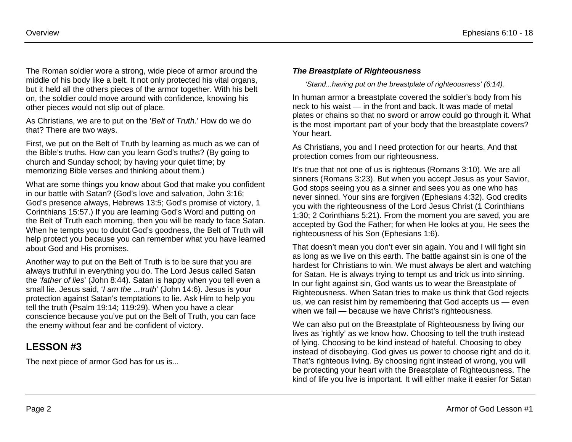The Roman soldier wore a strong, wide piece of armor around the middle of his body like a belt. It not only protected his vital organs, but it held all the others pieces of the armor together. With his belt on, the soldier could move around with confidence, knowing his other pieces would not slip out of place.

As Christians, we are to put on the '*Belt of Truth*.' How do we do that? There are two ways.

First, we put on the Belt of Truth by learning as much as we can of the Bible's truths. How can you learn God's truths? (By going to church and Sunday school; by having your quiet time; by memorizing Bible verses and thinking about them.)

What are some things you know about God that make you confident in our battle with Satan? (God's love and salvation, John 3:16; God's presence always, Hebrews 13:5; God's promise of victory, 1 Corinthians 15:57.) If you are learning God's Word and putting on the Belt of Truth each morning, then you will be ready to face Satan. When he tempts you to doubt God's goodness, the Belt of Truth will help protect you because you can remember what you have learned about God and His promises.

Another way to put on the Belt of Truth is to be sure that you are always truthful in everything you do. The Lord Jesus called Satan the '*father of lies*' (John 8:44). Satan is happy when you tell even a small lie. Jesus said, '*I am the ...truth*' (John 14:6). Jesus is your protection against Satan's temptations to lie. Ask Him to help you tell the truth (Psalm 19:14; 119:29). When you have a clear conscience because you've put on the Belt of Truth, you can face the enemy without fear and be confident of victory.

# **LESSON #3**

The next piece of armor God has for us is...

#### *The Breastplate of Righteousness*

*'Stand...having put on the breastplate of righteousness' (6:14).*

In human armor a breastplate covered the soldier's body from his neck to his waist — in the front and back. It was made of metal plates or chains so that no sword or arrow could go through it. What is the most important part of your body that the breastplate covers? Your heart.

As Christians, you and I need protection for our hearts. And that protection comes from our righteousness.

It's true that not one of us is righteous (Romans 3:10). We are all sinners (Romans 3:23). But when you accept Jesus as your Savior, God stops seeing you as a sinner and sees you as one who has never sinned. Your sins are forgiven (Ephesians 4:32). God credits you with the righteousness of the Lord Jesus Christ (1 Corinthians 1:30; 2 Corinthians 5:21). From the moment you are saved, you are accepted by God the Father; for when He looks at you, He sees the righteousness of his Son (Ephesians 1:6).

That doesn't mean you don't ever sin again. You and I will fight sin as long as we live on this earth. The battle against sin is one of the hardest for Christians to win. We must always be alert and watching for Satan. He is always trying to tempt us and trick us into sinning. In our fight against sin, God wants us to wear the Breastplate of Righteousness. When Satan tries to make us think that God rejects us, we can resist him by remembering that God accepts us — even when we fail — because we have Christ's righteousness.

We can also put on the Breastplate of Righteousness by living our lives as 'rightly' as we know how. Choosing to tell the truth instead of lying. Choosing to be kind instead of hateful. Choosing to obey instead of disobeying. God gives us power to choose right and do it. That's righteous living. By choosing right instead of wrong, you will be protecting your heart with the Breastplate of Righteousness. The kind of life you live is important. It will either make it easier for Satan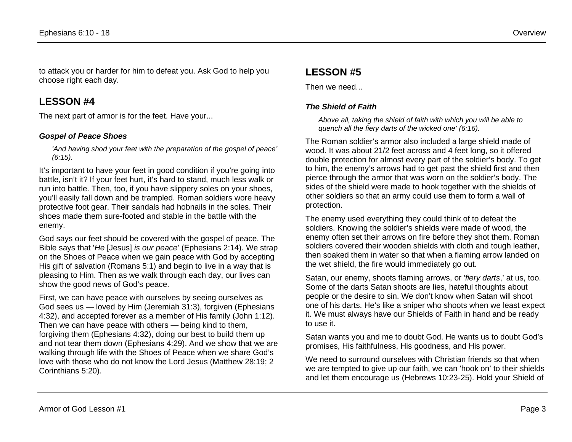to attack you or harder for him to defeat you. Ask God to help you choose right each day.

## **LESSON #4**

The next part of armor is for the feet. Have your...

#### *Gospel of Peace Shoes*

*'And having shod your feet with the preparation of the gospel of peace' (6:15).*

It's important to have your feet in good condition if you're going into battle, isn't it? If your feet hurt, it's hard to stand, much less walk or run into battle. Then, too, if you have slippery soles on your shoes, you'll easily fall down and be trampled. Roman soldiers wore heavy protective foot gear. Their sandals had hobnails in the soles. Their shoes made them sure-footed and stable in the battle with the enemy.

God says our feet should be covered with the gospel of peace. The Bible says that '*He* [Jesus] *is our peace*' (Ephesians 2:14). We strap on the Shoes of Peace when we gain peace with God by accepting His gift of salvation (Romans 5:1) and begin to live in a way that is pleasing to Him. Then as we walk through each day, our lives can show the good news of God's peace.

First, we can have peace with ourselves by seeing ourselves as God sees us — loved by Him (Jeremiah 31:3), forgiven (Ephesians 4:32), and accepted forever as a member of His family (John 1:12). Then we can have peace with others — being kind to them, forgiving them (Ephesians 4:32), doing our best to build them up and not tear them down (Ephesians 4:29). And we show that we are walking through life with the Shoes of Peace when we share God's love with those who do not know the Lord Jesus (Matthew 28:19; 2 Corinthians 5:20).

## **LESSON #5**

Then we need...

### *The Shield of Faith*

*Above all, taking the shield of faith with which you will be able to quench all the fiery darts of the wicked one' (6:16).*

The Roman soldier's armor also included a large shield made of wood. It was about 21/2 feet across and 4 feet long, so it offered double protection for almost every part of the soldier's body. To get to him, the enemy's arrows had to get past the shield first and then pierce through the armor that was worn on the soldier's body. The sides of the shield were made to hook together with the shields of other soldiers so that an army could use them to form a wall of protection.

The enemy used everything they could think of to defeat the soldiers. Knowing the soldier's shields were made of wood, the enemy often set their arrows on fire before they shot them. Roman soldiers covered their wooden shields with cloth and tough leather, then soaked them in water so that when a flaming arrow landed on the wet shield, the fire would immediately go out.

Satan, our enemy, shoots flaming arrows, or '*fiery darts*,' at us, too. Some of the darts Satan shoots are lies, hateful thoughts about people or the desire to sin. We don't know when Satan will shoot one of his darts. He's like a sniper who shoots when we least expect it. We must always have our Shields of Faith in hand and be ready to use it.

Satan wants you and me to doubt God. He wants us to doubt God's promises, His faithfulness, His goodness, and His power.

We need to surround ourselves with Christian friends so that when we are tempted to give up our faith, we can 'hook on' to their shields and let them encourage us (Hebrews 10:23-25). Hold your Shield of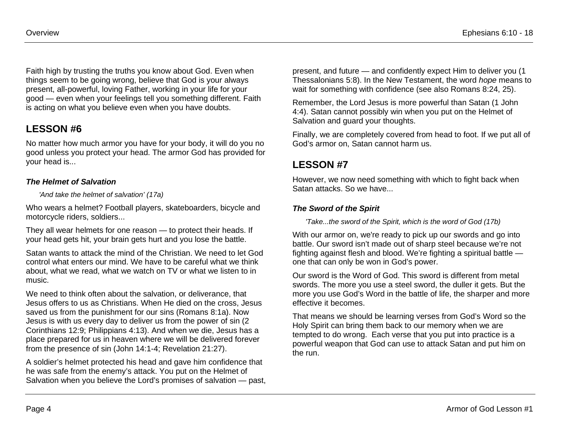Faith high by trusting the truths you know about God. Even when things seem to be going wrong, believe that God is your always present, all-powerful, loving Father, working in your life for your good — even when your feelings tell you something different. Faith is acting on what you believe even when you have doubts.

# **LESSON #6**

No matter how much armor you have for your body, it will do you no good unless you protect your head. The armor God has provided for your head is...

#### *The Helmet of Salvation*

#### *'And take the helmet of salvation' (17a)*

Who wears a helmet? Football players, skateboarders, bicycle and motorcycle riders, soldiers...

They all wear helmets for one reason — to protect their heads. If your head gets hit, your brain gets hurt and you lose the battle.

Satan wants to attack the mind of the Christian. We need to let God control what enters our mind. We have to be careful what we think about, what we read, what we watch on TV or what we listen to in music.

We need to think often about the salvation, or deliverance, that Jesus offers to us as Christians. When He died on the cross, Jesus saved us from the punishment for our sins (Romans 8:1a). Now Jesus is with us every day to deliver us from the power of sin (2 Corinthians 12:9; Philippians 4:13). And when we die, Jesus has a place prepared for us in heaven where we will be delivered forever from the presence of sin (John 14:1-4; Revelation 21:27).

A soldier's helmet protected his head and gave him confidence that he was safe from the enemy's attack. You put on the Helmet of Salvation when you believe the Lord's promises of salvation — past, present, and future — and confidently expect Him to deliver you (1 Thessalonians 5:8). In the New Testament, the word *hope* means to wait for something with confidence (see also Romans 8:24, 25).

Remember, the Lord Jesus is more powerful than Satan (1 John 4:4). Satan cannot possibly win when you put on the Helmet of Salvation and guard your thoughts.

Finally, we are completely covered from head to foot. If we put all of God's armor on, Satan cannot harm us.

## **LESSON #7**

However, we now need something with which to fight back when Satan attacks. So we have...

#### *The Sword of the Spirit*

*'Take...the sword of the Spirit, which is the word of God (17b)*

With our armor on, we're ready to pick up our swords and go into battle. Our sword isn't made out of sharp steel because we're not fighting against flesh and blood. We're fighting a spiritual battle one that can only be won in God's power.

Our sword is the Word of God. This sword is different from metal swords. The more you use a steel sword, the duller it gets. But the more you use God's Word in the battle of life, the sharper and more effective it becomes.

That means we should be learning verses from God's Word so the Holy Spirit can bring them back to our memory when we are tempted to do wrong. Each verse that you put into practice is a powerful weapon that God can use to attack Satan and put him on the run.